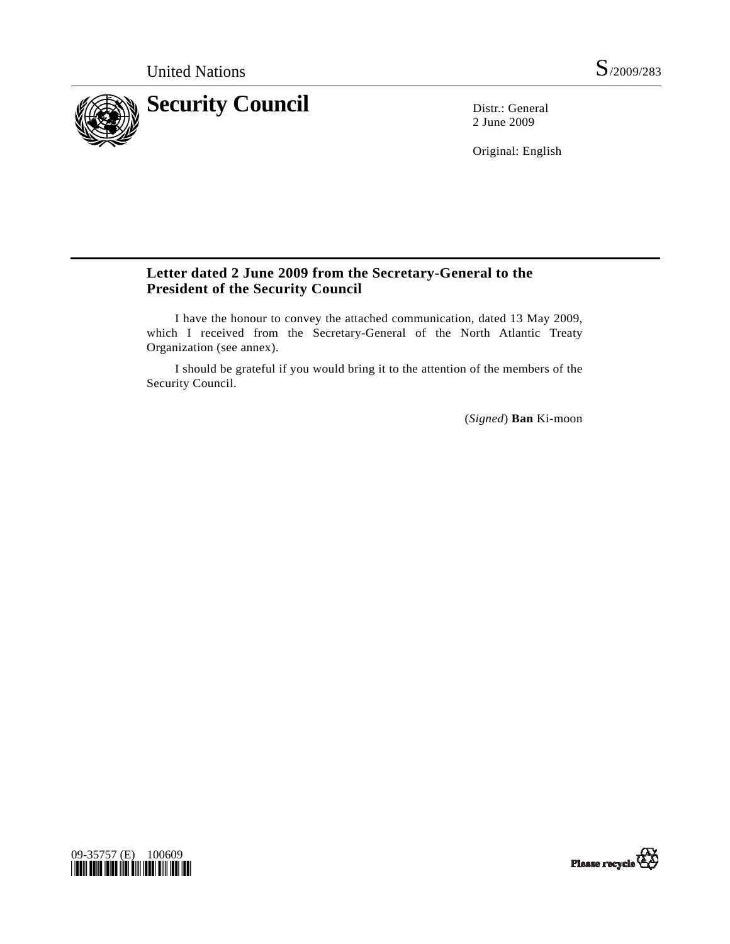

2 June 2009

Original: English

## **Letter dated 2 June 2009 from the Secretary-General to the President of the Security Council**

 I have the honour to convey the attached communication, dated 13 May 2009, which I received from the Secretary-General of the North Atlantic Treaty Organization (see annex).

 I should be grateful if you would bring it to the attention of the members of the Security Council.

(*Signed*) **Ban** Ki-moon



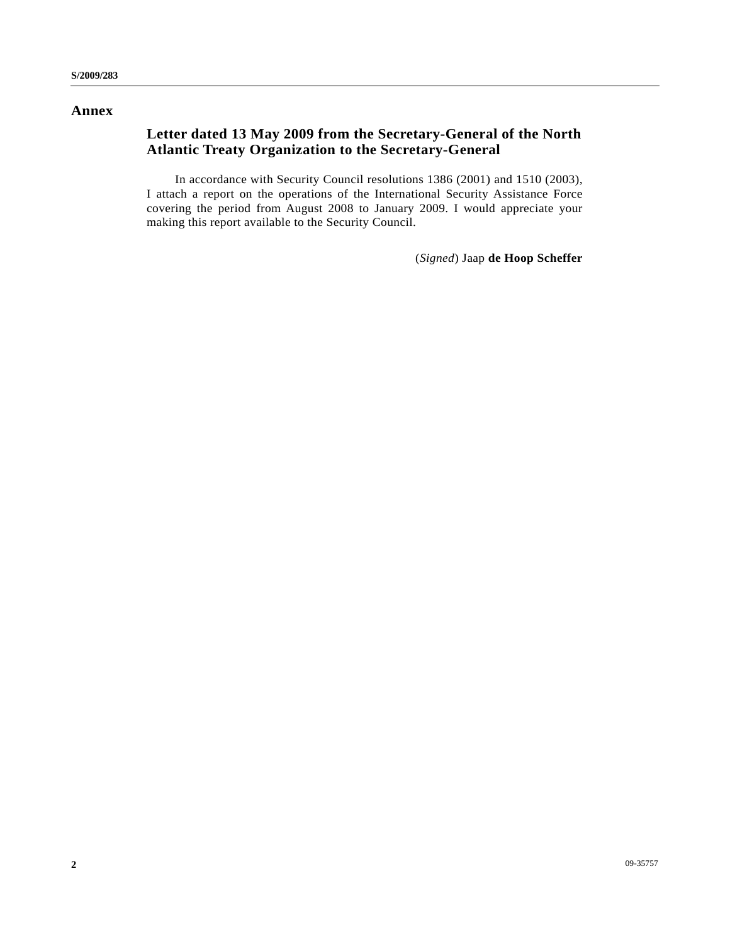## **Annex**

# **Letter dated 13 May 2009 from the Secretary-General of the North Atlantic Treaty Organization to the Secretary-General**

 In accordance with Security Council resolutions 1386 (2001) and 1510 (2003), I attach a report on the operations of the International Security Assistance Force covering the period from August 2008 to January 2009. I would appreciate your making this report available to the Security Council.

(*Signed*) Jaap **de Hoop Scheffer**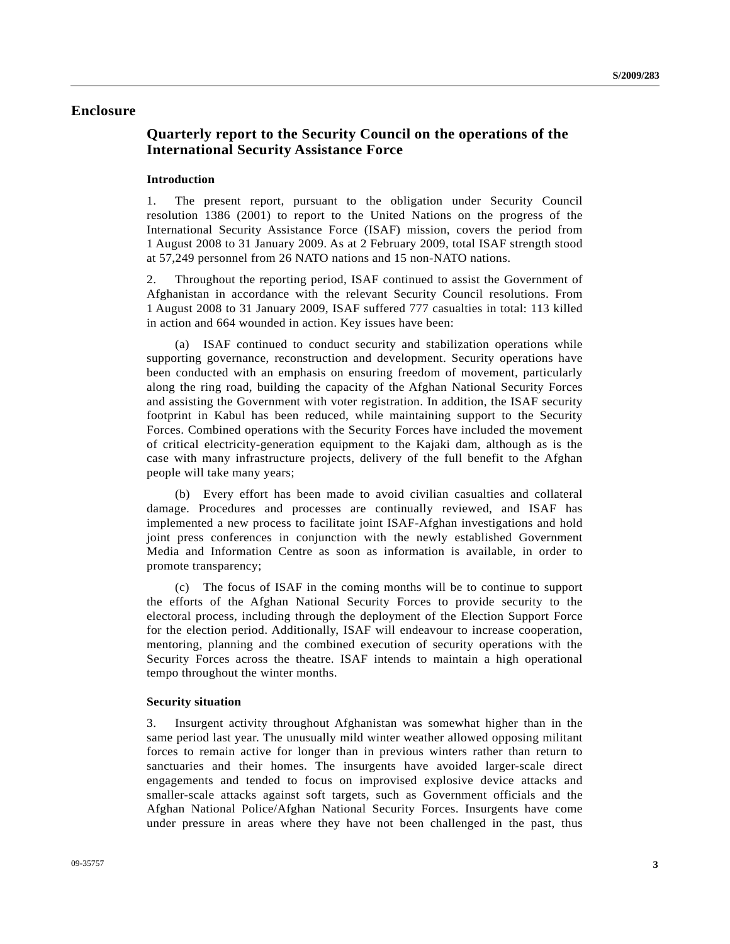## **Enclosure**

## **Quarterly report to the Security Council on the operations of the International Security Assistance Force**

### **Introduction**

1. The present report, pursuant to the obligation under Security Council resolution 1386 (2001) to report to the United Nations on the progress of the International Security Assistance Force (ISAF) mission, covers the period from 1 August 2008 to 31 January 2009. As at 2 February 2009, total ISAF strength stood at 57,249 personnel from 26 NATO nations and 15 non-NATO nations.

2. Throughout the reporting period, ISAF continued to assist the Government of Afghanistan in accordance with the relevant Security Council resolutions. From 1 August 2008 to 31 January 2009, ISAF suffered 777 casualties in total: 113 killed in action and 664 wounded in action. Key issues have been:

 (a) ISAF continued to conduct security and stabilization operations while supporting governance, reconstruction and development. Security operations have been conducted with an emphasis on ensuring freedom of movement, particularly along the ring road, building the capacity of the Afghan National Security Forces and assisting the Government with voter registration. In addition, the ISAF security footprint in Kabul has been reduced, while maintaining support to the Security Forces. Combined operations with the Security Forces have included the movement of critical electricity-generation equipment to the Kajaki dam, although as is the case with many infrastructure projects, delivery of the full benefit to the Afghan people will take many years;

 (b) Every effort has been made to avoid civilian casualties and collateral damage. Procedures and processes are continually reviewed, and ISAF has implemented a new process to facilitate joint ISAF-Afghan investigations and hold joint press conferences in conjunction with the newly established Government Media and Information Centre as soon as information is available, in order to promote transparency;

 (c) The focus of ISAF in the coming months will be to continue to support the efforts of the Afghan National Security Forces to provide security to the electoral process, including through the deployment of the Election Support Force for the election period. Additionally, ISAF will endeavour to increase cooperation, mentoring, planning and the combined execution of security operations with the Security Forces across the theatre. ISAF intends to maintain a high operational tempo throughout the winter months.

#### **Security situation**

3. Insurgent activity throughout Afghanistan was somewhat higher than in the same period last year. The unusually mild winter weather allowed opposing militant forces to remain active for longer than in previous winters rather than return to sanctuaries and their homes. The insurgents have avoided larger-scale direct engagements and tended to focus on improvised explosive device attacks and smaller-scale attacks against soft targets, such as Government officials and the Afghan National Police/Afghan National Security Forces. Insurgents have come under pressure in areas where they have not been challenged in the past, thus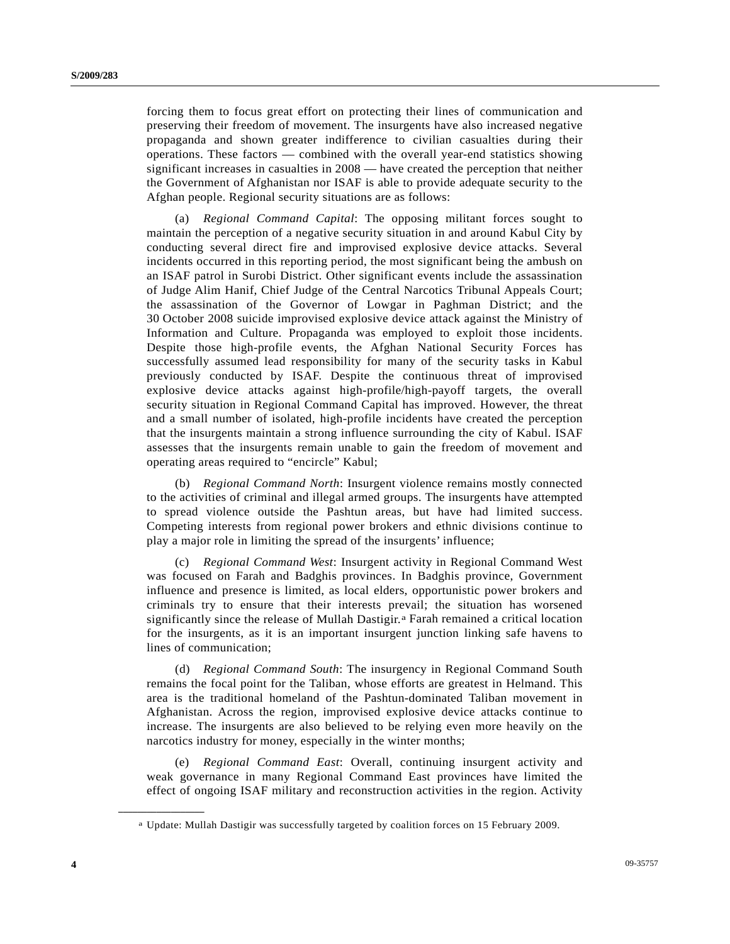forcing them to focus great effort on protecting their lines of communication and preserving their freedom of movement. The insurgents have also increased negative propaganda and shown greater indifference to civilian casualties during their operations. These factors — combined with the overall year-end statistics showing significant increases in casualties in 2008 — have created the perception that neither the Government of Afghanistan nor ISAF is able to provide adequate security to the Afghan people. Regional security situations are as follows:

 (a) *Regional Command Capital*: The opposing militant forces sought to maintain the perception of a negative security situation in and around Kabul City by conducting several direct fire and improvised explosive device attacks. Several incidents occurred in this reporting period, the most significant being the ambush on an ISAF patrol in Surobi District. Other significant events include the assassination of Judge Alim Hanif, Chief Judge of the Central Narcotics Tribunal Appeals Court; the assassination of the Governor of Lowgar in Paghman District; and the 30 October 2008 suicide improvised explosive device attack against the Ministry of Information and Culture. Propaganda was employed to exploit those incidents. Despite those high-profile events, the Afghan National Security Forces has successfully assumed lead responsibility for many of the security tasks in Kabul previously conducted by ISAF. Despite the continuous threat of improvised explosive device attacks against high-profile/high-payoff targets, the overall security situation in Regional Command Capital has improved. However, the threat and a small number of isolated, high-profile incidents have created the perception that the insurgents maintain a strong influence surrounding the city of Kabul. ISAF assesses that the insurgents remain unable to gain the freedom of movement and operating areas required to "encircle" Kabul;

 (b) *Regional Command North*: Insurgent violence remains mostly connected to the activities of criminal and illegal armed groups. The insurgents have attempted to spread violence outside the Pashtun areas, but have had limited success. Competing interests from regional power brokers and ethnic divisions continue to play a major role in limiting the spread of the insurgents' influence;

 (c) *Regional Command West*: Insurgent activity in Regional Command West was focused on Farah and Badghis provinces. In Badghis province, Government influence and presence is limited, as local elders, opportunistic power brokers and criminals try to ensure that their interests prevail; the situation has worsened significantly since the release of Mullah Dastigir.[a](#page-3-0) Farah remained a critical location for the insurgents, as it is an important insurgent junction linking safe havens to lines of communication;

 (d) *Regional Command South*: The insurgency in Regional Command South remains the focal point for the Taliban, whose efforts are greatest in Helmand. This area is the traditional homeland of the Pashtun-dominated Taliban movement in Afghanistan. Across the region, improvised explosive device attacks continue to increase. The insurgents are also believed to be relying even more heavily on the narcotics industry for money, especially in the winter months;

 (e) *Regional Command East*: Overall, continuing insurgent activity and weak governance in many Regional Command East provinces have limited the effect of ongoing ISAF military and reconstruction activities in the region. Activity

<span id="page-3-0"></span>**\_\_\_\_\_\_\_\_\_\_\_\_\_\_\_\_\_\_** 

a Update: Mullah Dastigir was successfully targeted by coalition forces on 15 February 2009.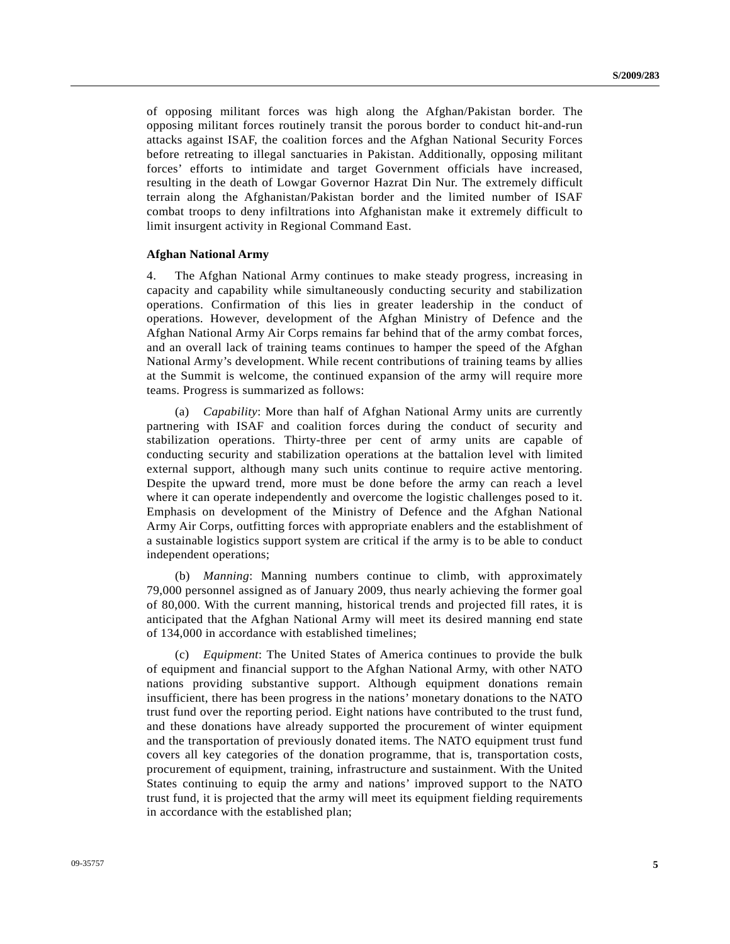of opposing militant forces was high along the Afghan/Pakistan border. The opposing militant forces routinely transit the porous border to conduct hit-and-run attacks against ISAF, the coalition forces and the Afghan National Security Forces before retreating to illegal sanctuaries in Pakistan. Additionally, opposing militant forces' efforts to intimidate and target Government officials have increased, resulting in the death of Lowgar Governor Hazrat Din Nur. The extremely difficult terrain along the Afghanistan/Pakistan border and the limited number of ISAF combat troops to deny infiltrations into Afghanistan make it extremely difficult to limit insurgent activity in Regional Command East.

#### **Afghan National Army**

4. The Afghan National Army continues to make steady progress, increasing in capacity and capability while simultaneously conducting security and stabilization operations. Confirmation of this lies in greater leadership in the conduct of operations. However, development of the Afghan Ministry of Defence and the Afghan National Army Air Corps remains far behind that of the army combat forces, and an overall lack of training teams continues to hamper the speed of the Afghan National Army's development. While recent contributions of training teams by allies at the Summit is welcome, the continued expansion of the army will require more teams. Progress is summarized as follows:

 (a) *Capability*: More than half of Afghan National Army units are currently partnering with ISAF and coalition forces during the conduct of security and stabilization operations. Thirty-three per cent of army units are capable of conducting security and stabilization operations at the battalion level with limited external support, although many such units continue to require active mentoring. Despite the upward trend, more must be done before the army can reach a level where it can operate independently and overcome the logistic challenges posed to it. Emphasis on development of the Ministry of Defence and the Afghan National Army Air Corps, outfitting forces with appropriate enablers and the establishment of a sustainable logistics support system are critical if the army is to be able to conduct independent operations;

 (b) *Manning*: Manning numbers continue to climb, with approximately 79,000 personnel assigned as of January 2009, thus nearly achieving the former goal of 80,000. With the current manning, historical trends and projected fill rates, it is anticipated that the Afghan National Army will meet its desired manning end state of 134,000 in accordance with established timelines;

 (c) *Equipment*: The United States of America continues to provide the bulk of equipment and financial support to the Afghan National Army, with other NATO nations providing substantive support. Although equipment donations remain insufficient, there has been progress in the nations' monetary donations to the NATO trust fund over the reporting period. Eight nations have contributed to the trust fund, and these donations have already supported the procurement of winter equipment and the transportation of previously donated items. The NATO equipment trust fund covers all key categories of the donation programme, that is, transportation costs, procurement of equipment, training, infrastructure and sustainment. With the United States continuing to equip the army and nations' improved support to the NATO trust fund, it is projected that the army will meet its equipment fielding requirements in accordance with the established plan;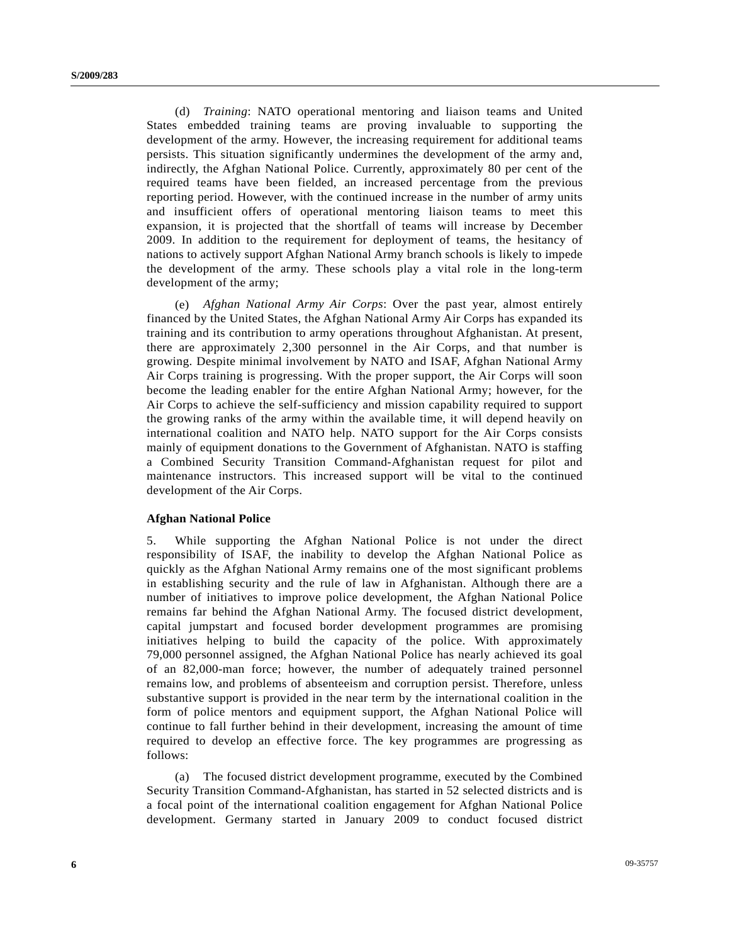(d) *Training*: NATO operational mentoring and liaison teams and United States embedded training teams are proving invaluable to supporting the development of the army. However, the increasing requirement for additional teams persists. This situation significantly undermines the development of the army and, indirectly, the Afghan National Police. Currently, approximately 80 per cent of the required teams have been fielded, an increased percentage from the previous reporting period. However, with the continued increase in the number of army units and insufficient offers of operational mentoring liaison teams to meet this expansion, it is projected that the shortfall of teams will increase by December 2009. In addition to the requirement for deployment of teams, the hesitancy of nations to actively support Afghan National Army branch schools is likely to impede the development of the army. These schools play a vital role in the long-term development of the army;

 (e) *Afghan National Army Air Corps*: Over the past year, almost entirely financed by the United States, the Afghan National Army Air Corps has expanded its training and its contribution to army operations throughout Afghanistan. At present, there are approximately 2,300 personnel in the Air Corps, and that number is growing. Despite minimal involvement by NATO and ISAF, Afghan National Army Air Corps training is progressing. With the proper support, the Air Corps will soon become the leading enabler for the entire Afghan National Army; however, for the Air Corps to achieve the self-sufficiency and mission capability required to support the growing ranks of the army within the available time, it will depend heavily on international coalition and NATO help. NATO support for the Air Corps consists mainly of equipment donations to the Government of Afghanistan. NATO is staffing a Combined Security Transition Command-Afghanistan request for pilot and maintenance instructors. This increased support will be vital to the continued development of the Air Corps.

#### **Afghan National Police**

5. While supporting the Afghan National Police is not under the direct responsibility of ISAF, the inability to develop the Afghan National Police as quickly as the Afghan National Army remains one of the most significant problems in establishing security and the rule of law in Afghanistan. Although there are a number of initiatives to improve police development, the Afghan National Police remains far behind the Afghan National Army. The focused district development, capital jumpstart and focused border development programmes are promising initiatives helping to build the capacity of the police. With approximately 79,000 personnel assigned, the Afghan National Police has nearly achieved its goal of an 82,000-man force; however, the number of adequately trained personnel remains low, and problems of absenteeism and corruption persist. Therefore, unless substantive support is provided in the near term by the international coalition in the form of police mentors and equipment support, the Afghan National Police will continue to fall further behind in their development, increasing the amount of time required to develop an effective force. The key programmes are progressing as follows:

 (a) The focused district development programme, executed by the Combined Security Transition Command-Afghanistan, has started in 52 selected districts and is a focal point of the international coalition engagement for Afghan National Police development. Germany started in January 2009 to conduct focused district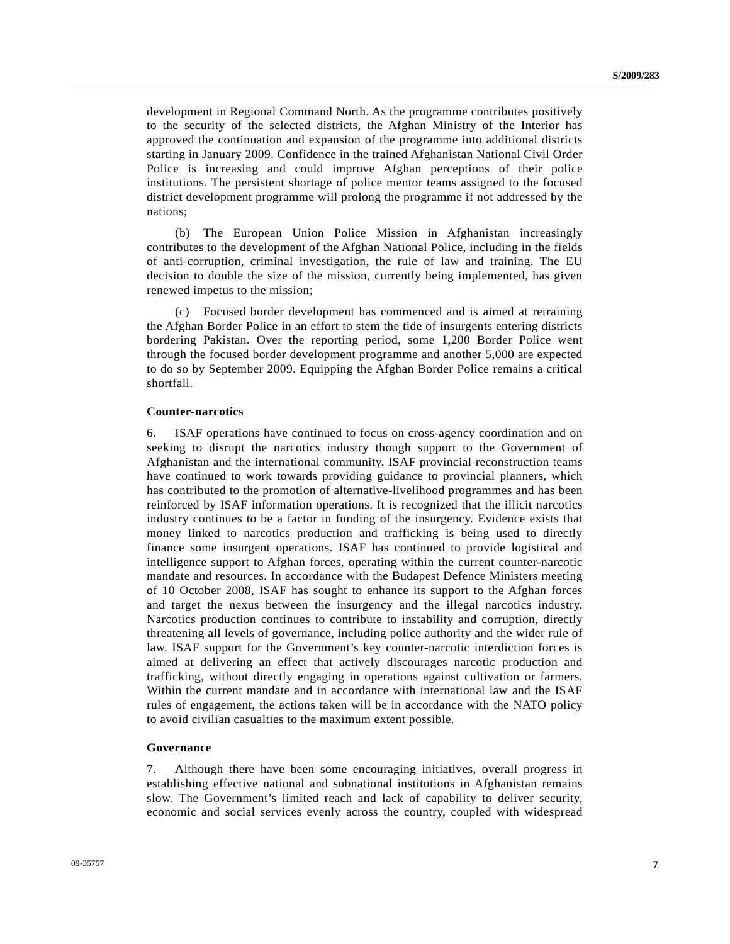development in Regional Command North. As the programme contributes positively to the security of the selected districts, the Afghan Ministry of the Interior has approved the continuation and expansion of the programme into additional districts starting in January 2009. Confidence in the trained Afghanistan National Civil Order Police is increasing and could improve Afghan perceptions of their police institutions. The persistent shortage of police mentor teams assigned to the focused district development programme will prolong the programme if not addressed by the nations;

 (b) The European Union Police Mission in Afghanistan increasingly contributes to the development of the Afghan National Police, including in the fields of anti-corruption, criminal investigation, the rule of law and training. The EU decision to double the size of the mission, currently being implemented, has given renewed impetus to the mission;

 (c) Focused border development has commenced and is aimed at retraining the Afghan Border Police in an effort to stem the tide of insurgents entering districts bordering Pakistan. Over the reporting period, some 1,200 Border Police went through the focused border development programme and another 5,000 are expected to do so by September 2009. Equipping the Afghan Border Police remains a critical shortfall.

#### **Counter-narcotics**

6. ISAF operations have continued to focus on cross-agency coordination and on seeking to disrupt the narcotics industry though support to the Government of Afghanistan and the international community. ISAF provincial reconstruction teams have continued to work towards providing guidance to provincial planners, which has contributed to the promotion of alternative-livelihood programmes and has been reinforced by ISAF information operations. It is recognized that the illicit narcotics industry continues to be a factor in funding of the insurgency. Evidence exists that money linked to narcotics production and trafficking is being used to directly finance some insurgent operations. ISAF has continued to provide logistical and intelligence support to Afghan forces, operating within the current counter-narcotic mandate and resources. In accordance with the Budapest Defence Ministers meeting of 10 October 2008, ISAF has sought to enhance its support to the Afghan forces and target the nexus between the insurgency and the illegal narcotics industry. Narcotics production continues to contribute to instability and corruption, directly threatening all levels of governance, including police authority and the wider rule of law. ISAF support for the Government's key counter-narcotic interdiction forces is aimed at delivering an effect that actively discourages narcotic production and trafficking, without directly engaging in operations against cultivation or farmers. Within the current mandate and in accordance with international law and the ISAF rules of engagement, the actions taken will be in accordance with the NATO policy to avoid civilian casualties to the maximum extent possible.

#### **Governance**

7. Although there have been some encouraging initiatives, overall progress in establishing effective national and subnational institutions in Afghanistan remains slow. The Government's limited reach and lack of capability to deliver security, economic and social services evenly across the country, coupled with widespread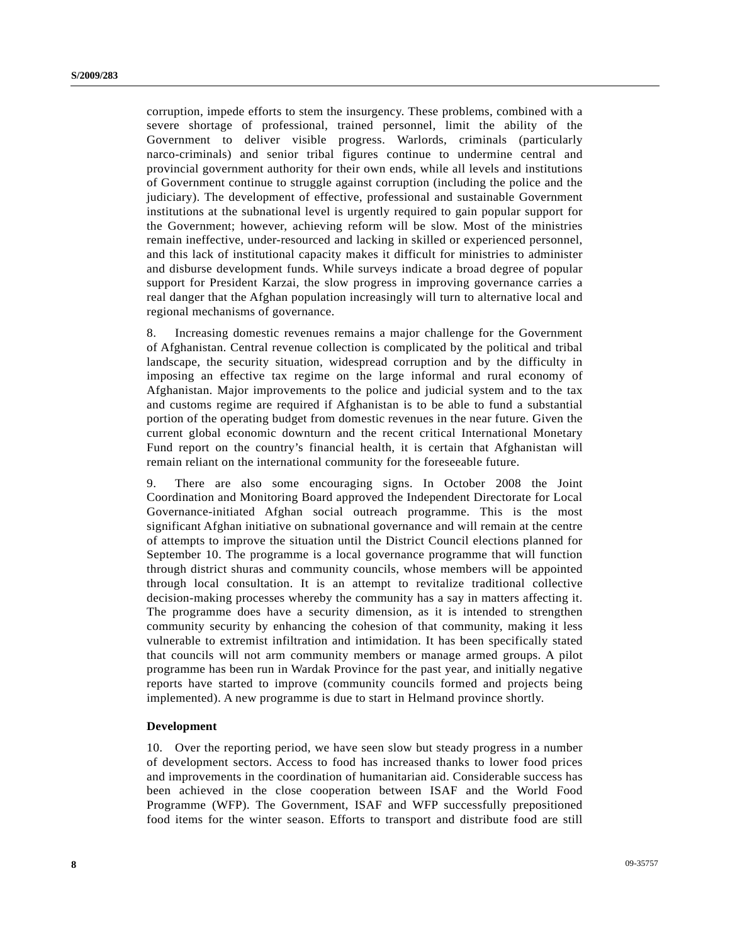corruption, impede efforts to stem the insurgency. These problems, combined with a severe shortage of professional, trained personnel, limit the ability of the Government to deliver visible progress. Warlords, criminals (particularly narco-criminals) and senior tribal figures continue to undermine central and provincial government authority for their own ends, while all levels and institutions of Government continue to struggle against corruption (including the police and the judiciary). The development of effective, professional and sustainable Government institutions at the subnational level is urgently required to gain popular support for the Government; however, achieving reform will be slow. Most of the ministries remain ineffective, under-resourced and lacking in skilled or experienced personnel, and this lack of institutional capacity makes it difficult for ministries to administer and disburse development funds. While surveys indicate a broad degree of popular support for President Karzai, the slow progress in improving governance carries a real danger that the Afghan population increasingly will turn to alternative local and regional mechanisms of governance.

8. Increasing domestic revenues remains a major challenge for the Government of Afghanistan. Central revenue collection is complicated by the political and tribal landscape, the security situation, widespread corruption and by the difficulty in imposing an effective tax regime on the large informal and rural economy of Afghanistan. Major improvements to the police and judicial system and to the tax and customs regime are required if Afghanistan is to be able to fund a substantial portion of the operating budget from domestic revenues in the near future. Given the current global economic downturn and the recent critical International Monetary Fund report on the country's financial health, it is certain that Afghanistan will remain reliant on the international community for the foreseeable future.

9. There are also some encouraging signs. In October 2008 the Joint Coordination and Monitoring Board approved the Independent Directorate for Local Governance-initiated Afghan social outreach programme. This is the most significant Afghan initiative on subnational governance and will remain at the centre of attempts to improve the situation until the District Council elections planned for September 10. The programme is a local governance programme that will function through district shuras and community councils, whose members will be appointed through local consultation. It is an attempt to revitalize traditional collective decision-making processes whereby the community has a say in matters affecting it. The programme does have a security dimension, as it is intended to strengthen community security by enhancing the cohesion of that community, making it less vulnerable to extremist infiltration and intimidation. It has been specifically stated that councils will not arm community members or manage armed groups. A pilot programme has been run in Wardak Province for the past year, and initially negative reports have started to improve (community councils formed and projects being implemented). A new programme is due to start in Helmand province shortly.

#### **Development**

10. Over the reporting period, we have seen slow but steady progress in a number of development sectors. Access to food has increased thanks to lower food prices and improvements in the coordination of humanitarian aid. Considerable success has been achieved in the close cooperation between ISAF and the World Food Programme (WFP). The Government, ISAF and WFP successfully prepositioned food items for the winter season. Efforts to transport and distribute food are still